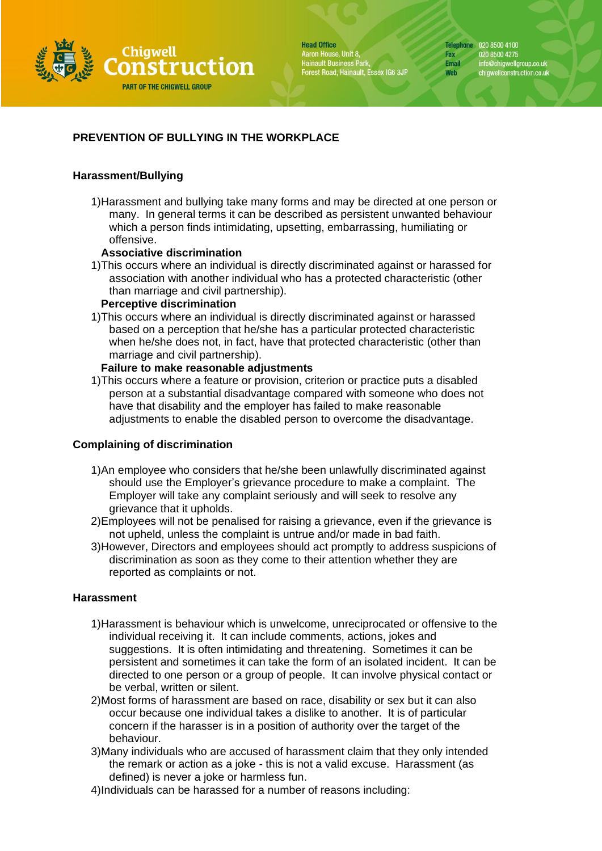

**Head Office** Aaron House, Unit 8, Hainault Business Park,<br>Forest Road, Hainault, Essex IG6 3JP Telephone 020 8500 4100 Fax 020 8500 4275 info@chigwellgroup.co.uk<br>chigwellconstruction.co.uk Email Web

# **PREVENTION OF BULLYING IN THE WORKPLACE**

## **Harassment/Bullying**

1)Harassment and bullying take many forms and may be directed at one person or many. In general terms it can be described as persistent unwanted behaviour which a person finds intimidating, upsetting, embarrassing, humiliating or offensive.

## **Associative discrimination**

1)This occurs where an individual is directly discriminated against or harassed for association with another individual who has a protected characteristic (other than marriage and civil partnership).

## **Perceptive discrimination**

1)This occurs where an individual is directly discriminated against or harassed based on a perception that he/she has a particular protected characteristic when he/she does not, in fact, have that protected characteristic (other than marriage and civil partnership).

## **Failure to make reasonable adjustments**

1)This occurs where a feature or provision, criterion or practice puts a disabled person at a substantial disadvantage compared with someone who does not have that disability and the employer has failed to make reasonable adjustments to enable the disabled person to overcome the disadvantage.

## **Complaining of discrimination**

- 1)An employee who considers that he/she been unlawfully discriminated against should use the Employer's grievance procedure to make a complaint. The Employer will take any complaint seriously and will seek to resolve any grievance that it upholds.
- 2)Employees will not be penalised for raising a grievance, even if the grievance is not upheld, unless the complaint is untrue and/or made in bad faith.
- 3)However, Directors and employees should act promptly to address suspicions of discrimination as soon as they come to their attention whether they are reported as complaints or not.

### **Harassment**

- 1)Harassment is behaviour which is unwelcome, unreciprocated or offensive to the individual receiving it. It can include comments, actions, jokes and suggestions. It is often intimidating and threatening. Sometimes it can be persistent and sometimes it can take the form of an isolated incident. It can be directed to one person or a group of people. It can involve physical contact or be verbal, written or silent.
- 2)Most forms of harassment are based on race, disability or sex but it can also occur because one individual takes a dislike to another. It is of particular concern if the harasser is in a position of authority over the target of the behaviour.
- 3)Many individuals who are accused of harassment claim that they only intended the remark or action as a joke - this is not a valid excuse. Harassment (as defined) is never a joke or harmless fun.
- 4)Individuals can be harassed for a number of reasons including: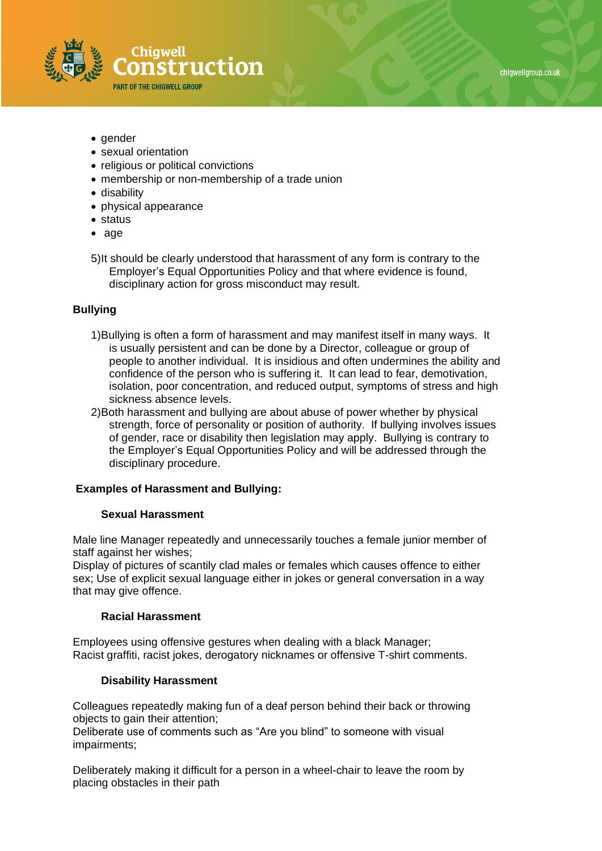

- gender
- sexual orientation
- religious or political convictions
- membership or non-membership of a trade union
- disability
- physical appearance
- status
- age
- 5)It should be clearly understood that harassment of any form is contrary to the Employer's Equal Opportunities Policy and that where evidence is found, disciplinary action for gross misconduct may result.

#### **Bullying**

- 1)Bullying is often a form of harassment and may manifest itself in many ways. It is usually persistent and can be done by a Director, colleague or group of people to another individual. It is insidious and often undermines the ability and confidence of the person who is suffering it. It can lead to fear, demotivation, isolation, poor concentration, and reduced output, symptoms of stress and high sickness absence levels.
- 2)Both harassment and bullying are about abuse of power whether by physical strength, force of personality or position of authority. If bullying involves issues of gender, race or disability then legislation may apply. Bullying is contrary to the Employer's Equal Opportunities Policy and will be addressed through the disciplinary procedure.

#### **Examples of Harassment and Bullying:**

#### **Sexual Harassment**

Male line Manager repeatedly and unnecessarily touches a female junior member of staff against her wishes;

Display of pictures of scantily clad males or females which causes offence to either sex; Use of explicit sexual language either in jokes or general conversation in a way that may give offence.

#### **Racial Harassment**

Employees using offensive gestures when dealing with a black Manager; Racist graffiti, racist jokes, derogatory nicknames or offensive T-shirt comments.

#### **Disability Harassment**

Colleagues repeatedly making fun of a deaf person behind their back or throwing objects to gain their attention;

Deliberate use of comments such as "Are you blind" to someone with visual impairments;

Deliberately making it difficult for a person in a wheel-chair to leave the room by placing obstacles in their path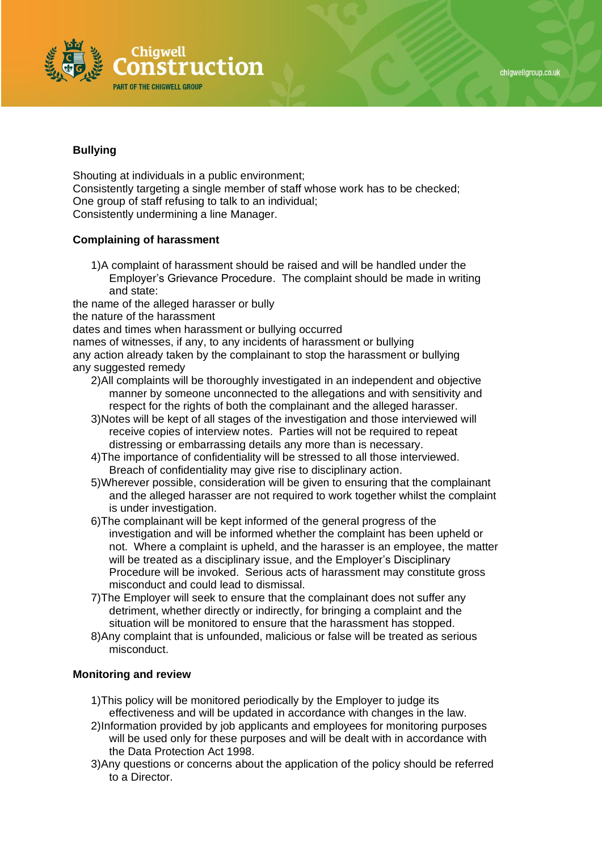



# **Bullying**

Shouting at individuals in a public environment; Consistently targeting a single member of staff whose work has to be checked; One group of staff refusing to talk to an individual; Consistently undermining a line Manager.

# **Complaining of harassment**

1)A complaint of harassment should be raised and will be handled under the Employer's Grievance Procedure. The complaint should be made in writing and state:

the name of the alleged harasser or bully

the nature of the harassment

dates and times when harassment or bullying occurred

names of witnesses, if any, to any incidents of harassment or bullying any action already taken by the complainant to stop the harassment or bullying

- any suggested remedy
	- 2)All complaints will be thoroughly investigated in an independent and objective manner by someone unconnected to the allegations and with sensitivity and respect for the rights of both the complainant and the alleged harasser.
	- 3)Notes will be kept of all stages of the investigation and those interviewed will receive copies of interview notes. Parties will not be required to repeat distressing or embarrassing details any more than is necessary.
	- 4)The importance of confidentiality will be stressed to all those interviewed. Breach of confidentiality may give rise to disciplinary action.
	- 5)Wherever possible, consideration will be given to ensuring that the complainant and the alleged harasser are not required to work together whilst the complaint is under investigation.
	- 6)The complainant will be kept informed of the general progress of the investigation and will be informed whether the complaint has been upheld or not. Where a complaint is upheld, and the harasser is an employee, the matter will be treated as a disciplinary issue, and the Employer's Disciplinary Procedure will be invoked. Serious acts of harassment may constitute gross misconduct and could lead to dismissal.
	- 7)The Employer will seek to ensure that the complainant does not suffer any detriment, whether directly or indirectly, for bringing a complaint and the situation will be monitored to ensure that the harassment has stopped.
	- 8)Any complaint that is unfounded, malicious or false will be treated as serious misconduct.

## **Monitoring and review**

- 1)This policy will be monitored periodically by the Employer to judge its effectiveness and will be updated in accordance with changes in the law.
- 2)Information provided by job applicants and employees for monitoring purposes will be used only for these purposes and will be dealt with in accordance with the Data Protection Act 1998.
- 3)Any questions or concerns about the application of the policy should be referred to a Director.